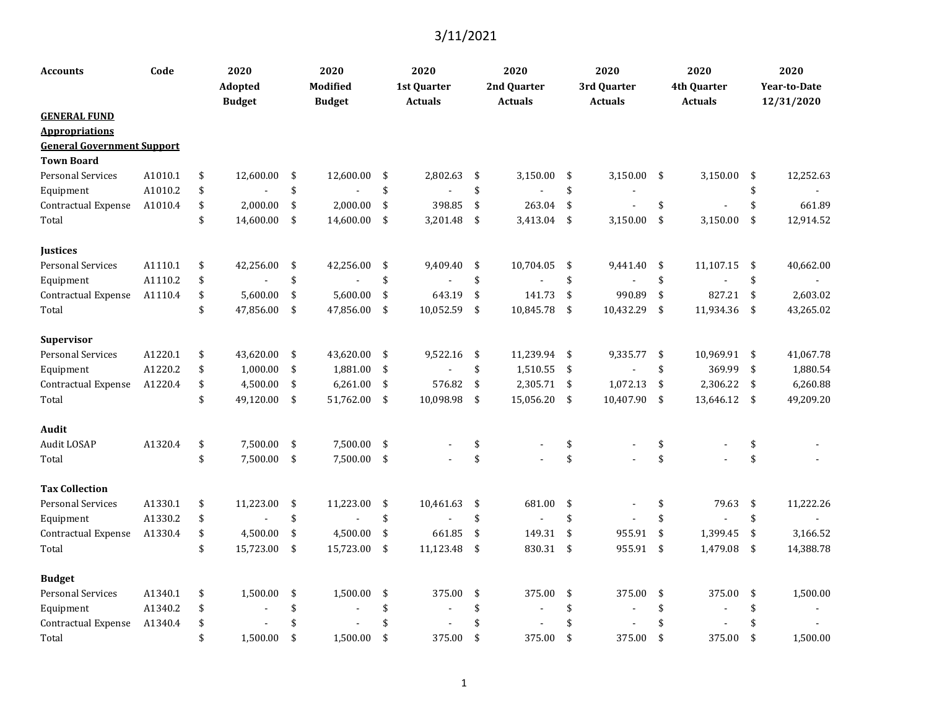| Accounts                          | Code    | 2020<br>Adopted<br><b>Budget</b> | 2020<br><b>Modified</b><br><b>Budget</b> |      | 2020<br>1st Quarter<br><b>Actuals</b> | 2020<br>2nd Quarter<br><b>Actuals</b> |                    | 2020<br>3rd Quarter<br><b>Actuals</b> |      | 2020<br>4th Quarter<br><b>Actuals</b> | 2020<br><b>Year-to-Date</b><br>12/31/2020 |
|-----------------------------------|---------|----------------------------------|------------------------------------------|------|---------------------------------------|---------------------------------------|--------------------|---------------------------------------|------|---------------------------------------|-------------------------------------------|
| <b>GENERAL FUND</b>               |         |                                  |                                          |      |                                       |                                       |                    |                                       |      |                                       |                                           |
| <b>Appropriations</b>             |         |                                  |                                          |      |                                       |                                       |                    |                                       |      |                                       |                                           |
| <b>General Government Support</b> |         |                                  |                                          |      |                                       |                                       |                    |                                       |      |                                       |                                           |
| <b>Town Board</b>                 |         |                                  |                                          |      |                                       |                                       |                    |                                       |      |                                       |                                           |
| <b>Personal Services</b>          | A1010.1 | \$<br>12,600.00                  | \$<br>12,600.00                          | \$   | 2,802.63                              | \$<br>3,150.00                        | \$                 | 3,150.00                              | \$   | 3,150.00                              | \$<br>12,252.63                           |
| Equipment                         | A1010.2 | \$                               | \$                                       | \$   |                                       | \$                                    | \$                 |                                       |      |                                       | \$                                        |
| Contractual Expense               | A1010.4 | \$<br>2,000.00                   | \$<br>2,000.00                           | \$   | 398.85                                | \$<br>263.04                          | \$                 |                                       | \$   |                                       | \$<br>661.89                              |
| Total                             |         | \$<br>14,600.00                  | \$<br>14,600.00                          | \$   | 3,201.48                              | \$<br>3,413.04                        | \$                 | 3,150.00                              | \$   | 3,150.00                              | \$<br>12,914.52                           |
| <b>Justices</b>                   |         |                                  |                                          |      |                                       |                                       |                    |                                       |      |                                       |                                           |
| <b>Personal Services</b>          | A1110.1 | \$<br>42,256.00                  | \$<br>42,256.00                          | -\$  | 9,409.40                              | \$<br>10,704.05                       | \$                 | 9,441.40                              | - \$ | 11,107.15                             | \$<br>40,662.00                           |
| Equipment                         | A1110.2 | \$                               | \$                                       | \$   |                                       | \$                                    | \$                 |                                       | \$   | $\blacksquare$                        | \$                                        |
| Contractual Expense               | A1110.4 | \$<br>5,600.00                   | \$<br>5,600.00                           | \$   | 643.19                                | \$<br>141.73                          | \$                 | 990.89                                | \$   | 827.21                                | \$<br>2,603.02                            |
| Total                             |         | \$<br>47,856.00                  | \$<br>47,856.00                          | \$   | 10,052.59                             | \$<br>10,845.78                       | \$                 | 10,432.29                             | \$   | 11,934.36                             | \$<br>43,265.02                           |
| Supervisor                        |         |                                  |                                          |      |                                       |                                       |                    |                                       |      |                                       |                                           |
| <b>Personal Services</b>          | A1220.1 | \$<br>43,620.00                  | \$<br>43,620.00                          | - \$ | 9,522.16                              | \$<br>11,239.94 \$                    |                    | 9,335.77                              | -\$  | 10,969.91 \$                          | 41,067.78                                 |
| Equipment                         | A1220.2 | \$<br>1,000.00                   | \$<br>1,881.00                           | \$   |                                       | \$<br>1,510.55                        | \$                 |                                       | \$   | 369.99                                | \$<br>1,880.54                            |
| Contractual Expense               | A1220.4 | \$<br>4,500.00                   | \$<br>6,261.00                           | - \$ | 576.82                                | \$<br>2,305.71                        | \$                 | 1,072.13                              | \$   | 2,306.22                              | \$<br>6,260.88                            |
| Total                             |         | \$<br>49,120.00                  | \$<br>51,762.00 \$                       |      | 10,098.98                             | \$<br>15,056.20                       | \$                 | 10,407.90                             | -\$  | 13,646.12                             | \$<br>49,209.20                           |
| Audit                             |         |                                  |                                          |      |                                       |                                       |                    |                                       |      |                                       |                                           |
| Audit LOSAP                       | A1320.4 | \$<br>7,500.00                   | \$<br>7,500.00                           | -\$  |                                       | \$                                    | $\boldsymbol{\$}$  |                                       | \$   |                                       | \$                                        |
| Total                             |         | \$<br>7,500.00                   | \$<br>7,500.00                           | -\$  |                                       | \$                                    | \$                 |                                       | \$   |                                       | \$                                        |
| <b>Tax Collection</b>             |         |                                  |                                          |      |                                       |                                       |                    |                                       |      |                                       |                                           |
| <b>Personal Services</b>          | A1330.1 | \$<br>11,223.00                  | \$<br>11,223.00                          | \$   | 10,461.63                             | \$<br>681.00                          | \$                 |                                       | \$   | 79.63                                 | \$<br>11,222.26                           |
| Equipment                         | A1330.2 | \$                               | \$                                       | \$   |                                       | \$<br>$\overline{a}$                  | \$                 |                                       | \$   |                                       | \$                                        |
| Contractual Expense               | A1330.4 | \$<br>4,500.00                   | \$<br>4,500.00                           | \$   | 661.85                                | \$<br>149.31                          | \$                 | 955.91                                | \$   | 1,399.45                              | \$<br>3,166.52                            |
| Total                             |         | \$<br>15,723.00                  | \$<br>15,723.00                          | \$   | 11,123.48                             | \$<br>830.31                          | $\mathbf{\hat{S}}$ | 955.91                                | \$   | 1,479.08                              | \$<br>14,388.78                           |
| <b>Budget</b>                     |         |                                  |                                          |      |                                       |                                       |                    |                                       |      |                                       |                                           |
| <b>Personal Services</b>          | A1340.1 | \$<br>1,500.00                   | \$<br>1,500.00                           | \$   | 375.00                                | \$<br>375.00                          | \$                 | 375.00                                | \$   | 375.00                                | \$<br>1,500.00                            |
| Equipment                         | A1340.2 | \$                               | \$                                       | \$   | $\blacksquare$                        | \$                                    | \$                 |                                       | \$   | $\sim$                                | \$                                        |
| Contractual Expense               | A1340.4 | \$                               | \$                                       | \$   |                                       |                                       | \$                 |                                       | \$   |                                       |                                           |
| Total                             |         | \$<br>1,500.00                   | \$<br>1,500.00                           | \$   | 375.00                                | \$<br>375.00                          | \$                 | 375.00                                | \$   | 375.00                                | \$<br>1,500.00                            |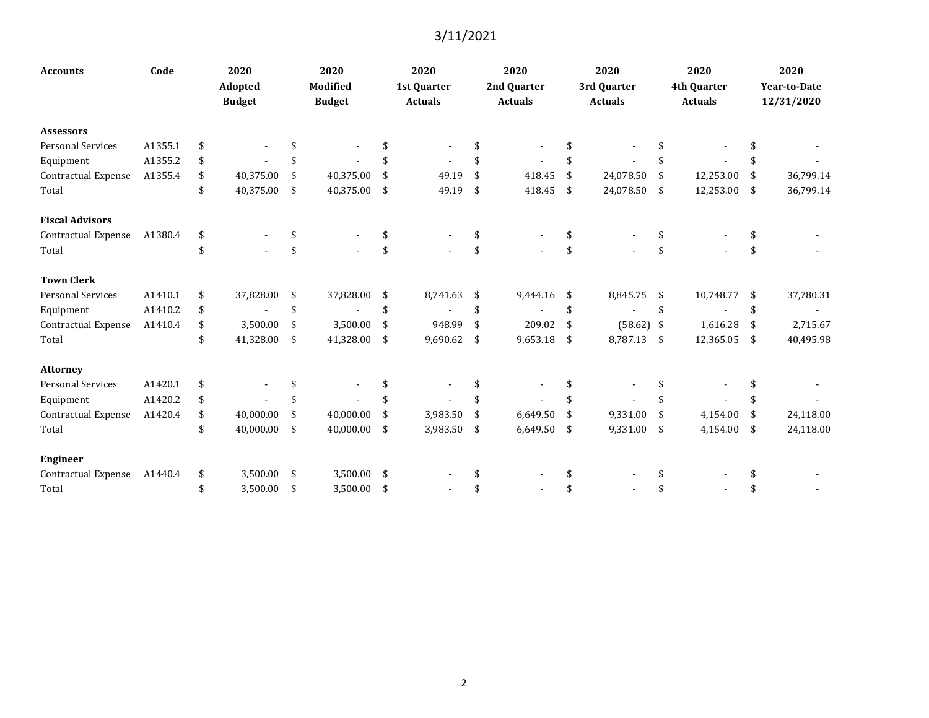| <b>Accounts</b>            | Code    | 2020<br><b>Adopted</b><br><b>Budget</b> |                    | 2020<br><b>Modified</b><br><b>Budget</b> |      | 2020<br>1st Quarter<br><b>Actuals</b> | 2020<br>2nd Quarter<br><b>Actuals</b> | 2020<br>3rd Quarter<br><b>Actuals</b> |              | 2020<br>4th Quarter<br><b>Actuals</b> | 2020<br><b>Year-to-Date</b><br>12/31/2020 |
|----------------------------|---------|-----------------------------------------|--------------------|------------------------------------------|------|---------------------------------------|---------------------------------------|---------------------------------------|--------------|---------------------------------------|-------------------------------------------|
| <b>Assessors</b>           |         |                                         |                    |                                          |      |                                       |                                       |                                       |              |                                       |                                           |
| <b>Personal Services</b>   | A1355.1 | \$                                      |                    |                                          |      |                                       |                                       | \$                                    |              |                                       |                                           |
| Equipment                  | A1355.2 | \$                                      |                    |                                          |      |                                       |                                       | \$                                    |              |                                       |                                           |
| <b>Contractual Expense</b> | A1355.4 | \$<br>40,375.00                         | \$                 | 40,375.00                                | \$   | 49.19                                 | \$<br>418.45                          | \$<br>24,078.50                       | -\$          | 12,253.00                             | \$<br>36,799.14                           |
| Total                      |         | \$<br>40,375.00                         | $\mathbf{\hat{S}}$ | 40,375.00 \$                             |      | 49.19                                 | \$<br>418.45                          | \$<br>24,078.50                       | $\mathbf{s}$ | 12,253.00                             | \$<br>36,799.14                           |
| <b>Fiscal Advisors</b>     |         |                                         |                    |                                          |      |                                       |                                       |                                       |              |                                       |                                           |
| Contractual Expense        | A1380.4 | \$                                      | \$                 |                                          | \$   |                                       | \$                                    | \$                                    |              |                                       |                                           |
| Total                      |         | \$                                      | \$                 |                                          | \$   |                                       | \$                                    | \$                                    | \$           |                                       |                                           |
| <b>Town Clerk</b>          |         |                                         |                    |                                          |      |                                       |                                       |                                       |              |                                       |                                           |
| <b>Personal Services</b>   | A1410.1 | \$<br>37,828.00                         | \$                 | 37,828.00                                | -\$  | 8,741.63                              | \$<br>9,444.16                        | \$<br>8,845.75                        | - \$         | 10,748.77                             | \$<br>37,780.31                           |
| Equipment                  | A1410.2 | \$                                      | \$                 |                                          | \$   |                                       | \$                                    | \$                                    | \$           |                                       | \$                                        |
| <b>Contractual Expense</b> | A1410.4 | \$<br>3,500.00                          | \$                 | 3,500.00                                 | \$   | 948.99                                | \$<br>209.02                          | \$<br>$(58.62)$ \$                    |              | 1,616.28                              | \$<br>2,715.67                            |
| Total                      |         | \$<br>41,328.00                         | \$                 | 41,328.00                                | -\$  | 9,690.62                              | \$<br>9,653.18                        | \$<br>8,787.13                        | $\mathbf{s}$ | 12,365.05                             | \$<br>40,495.98                           |
| <b>Attorney</b>            |         |                                         |                    |                                          |      |                                       |                                       |                                       |              |                                       |                                           |
| <b>Personal Services</b>   | A1420.1 | \$                                      |                    |                                          |      |                                       |                                       | \$                                    |              |                                       |                                           |
| Equipment                  | A1420.2 | \$                                      |                    |                                          |      |                                       |                                       | \$                                    |              |                                       |                                           |
| Contractual Expense        | A1420.4 | \$<br>40,000.00                         | \$                 | 40,000.00                                | \$   | 3,983.50                              | \$<br>6,649.50                        | \$<br>9,331.00                        | -\$          | 4,154.00                              | \$<br>24,118.00                           |
| Total                      |         | \$<br>40,000.00                         | \$                 | 40,000.00 \$                             |      | 3,983.50                              | \$<br>6,649.50                        | \$<br>9,331.00 \$                     |              | 4,154.00                              | \$<br>24,118.00                           |
| <b>Engineer</b>            |         |                                         |                    |                                          |      |                                       |                                       |                                       |              |                                       |                                           |
| <b>Contractual Expense</b> | A1440.4 | \$<br>3,500.00                          | \$                 | 3,500.00                                 | - \$ |                                       |                                       |                                       |              |                                       |                                           |
| Total                      |         | \$<br>3,500.00                          | \$                 | 3,500.00                                 | - \$ |                                       |                                       | \$                                    | \$           |                                       |                                           |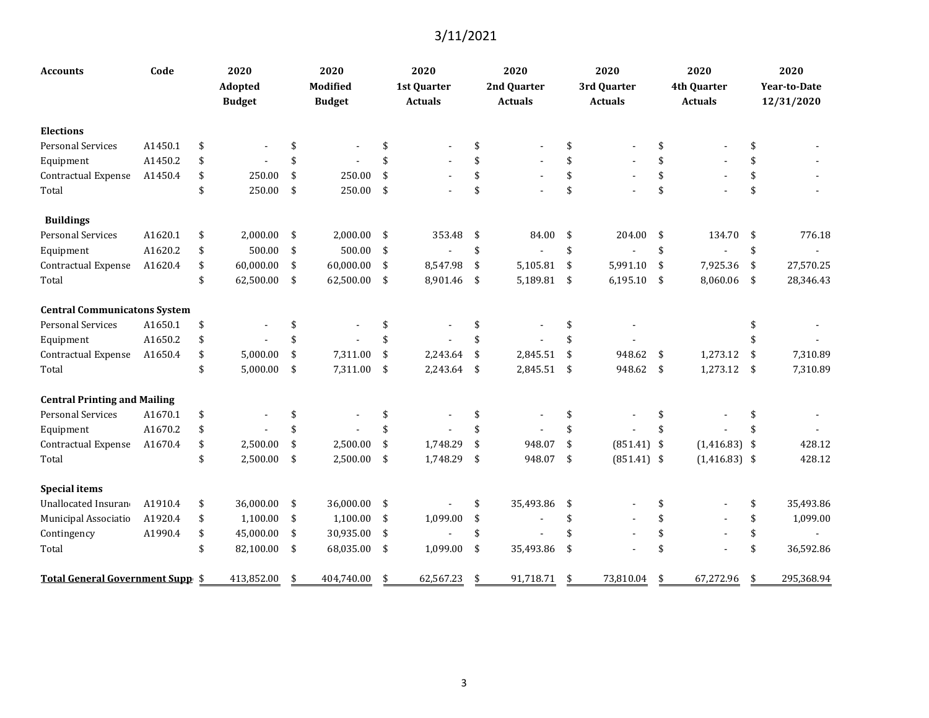| <b>Accounts</b>                     | Code    | 2020<br>Adopted<br><b>Budget</b> |     | 2020<br>Modified<br><b>Budget</b> |                    | 2020<br>1st Quarter<br><b>Actuals</b> | 2020<br>2nd Quarter<br><b>Actuals</b> | 2020<br>3rd Quarter<br><b>Actuals</b> |               | 2020<br>4th Quarter<br><b>Actuals</b> | 2020<br>Year-to-Date<br>12/31/2020 |
|-------------------------------------|---------|----------------------------------|-----|-----------------------------------|--------------------|---------------------------------------|---------------------------------------|---------------------------------------|---------------|---------------------------------------|------------------------------------|
| <b>Elections</b>                    |         |                                  |     |                                   |                    |                                       |                                       |                                       |               |                                       |                                    |
| <b>Personal Services</b>            | A1450.1 | \$                               | \$  |                                   | \$                 |                                       | \$                                    | \$                                    | \$            |                                       | \$                                 |
| Equipment                           | A1450.2 | \$                               | \$  |                                   | \$                 |                                       |                                       | \$                                    | \$            |                                       |                                    |
| <b>Contractual Expense</b>          | A1450.4 | \$<br>250.00                     | \$  | 250.00                            | \$                 |                                       |                                       | \$                                    | \$            |                                       | \$                                 |
| Total                               |         | \$<br>250.00                     | \$  | 250.00                            | \$                 |                                       | \$                                    | \$                                    | \$            |                                       | \$                                 |
| <b>Buildings</b>                    |         |                                  |     |                                   |                    |                                       |                                       |                                       |               |                                       |                                    |
| <b>Personal Services</b>            | A1620.1 | \$<br>2,000.00                   | -\$ | 2,000.00                          | \$                 | 353.48                                | \$<br>84.00                           | \$<br>204.00                          | \$            | 134.70                                | \$<br>776.18                       |
| Equipment                           | A1620.2 | \$<br>500.00                     | \$  | 500.00                            | \$                 |                                       | \$<br>$\overline{\phantom{a}}$        | \$                                    | \$            |                                       | \$                                 |
| Contractual Expense                 | A1620.4 | \$<br>60,000.00                  | \$  | 60,000.00                         | \$                 | 8,547.98                              | \$<br>5,105.81                        | \$<br>5,991.10                        | \$            | 7,925.36                              | \$<br>27,570.25                    |
| Total                               |         | \$<br>62,500.00                  | -\$ | 62,500.00                         | $\sqrt{5}$         | 8,901.46                              | \$<br>5,189.81 \$                     | $6,195.10$ \$                         |               | 8,060.06                              | \$<br>28,346.43                    |
| <b>Central Communicatons System</b> |         |                                  |     |                                   |                    |                                       |                                       |                                       |               |                                       |                                    |
| <b>Personal Services</b>            | A1650.1 | \$                               | \$  |                                   | \$                 |                                       | \$                                    | \$                                    |               |                                       |                                    |
| Equipment                           | A1650.2 | \$                               | \$  |                                   | \$                 |                                       | \$                                    | \$                                    |               |                                       |                                    |
| Contractual Expense                 | A1650.4 | \$<br>5,000.00                   | \$  | 7,311.00                          | \$                 | 2,243.64                              | \$<br>2,845.51                        | \$<br>948.62                          | -\$           | 1,273.12                              | \$<br>7,310.89                     |
| Total                               |         | \$<br>5,000.00                   | \$  | 7,311.00                          | \$                 | 2,243.64                              | \$<br>2,845.51                        | \$<br>948.62                          | $\sqrt[6]{3}$ | 1,273.12                              | \$<br>7,310.89                     |
| <b>Central Printing and Mailing</b> |         |                                  |     |                                   |                    |                                       |                                       |                                       |               |                                       |                                    |
| <b>Personal Services</b>            | A1670.1 | \$                               | \$  |                                   | \$                 |                                       | \$                                    | \$                                    | \$            |                                       |                                    |
| Equipment                           | A1670.2 | \$                               | \$  |                                   | \$                 |                                       |                                       | \$                                    | \$            |                                       |                                    |
| Contractual Expense                 | A1670.4 | \$<br>2,500.00                   | \$  | 2,500.00                          | \$                 | 1,748.29                              | \$<br>948.07                          | \$<br>$(851.41)$ \$                   |               | $(1,416.83)$ \$                       | 428.12                             |
| Total                               |         | \$<br>2,500.00                   | \$  | 2,500.00                          | \$                 | 1,748.29                              | \$<br>948.07                          | \$<br>$(851.41)$ \$                   |               | $(1,416.83)$ \$                       | 428.12                             |
| <b>Special items</b>                |         |                                  |     |                                   |                    |                                       |                                       |                                       |               |                                       |                                    |
| Unallocated Insuran                 | A1910.4 | \$<br>36,000.00                  | \$  | 36,000.00                         | -\$                |                                       | \$<br>35,493.86                       | \$                                    |               |                                       | \$<br>35,493.86                    |
| Municipal Associatio                | A1920.4 | \$<br>1,100.00                   | \$  | 1,100.00                          | \$                 | 1,099.00                              | \$                                    | \$                                    | \$            |                                       | \$<br>1,099.00                     |
| Contingency                         | A1990.4 | \$<br>45,000.00                  | \$  | 30,935.00                         | $\mathbf{\hat{S}}$ |                                       | \$                                    | \$                                    | \$            |                                       | \$                                 |
| Total                               |         | \$<br>82,100.00                  | -\$ | 68,035.00                         | -\$                | 1,099.00                              | \$<br>35,493.86                       | \$                                    | \$            |                                       | \$<br>36,592.86                    |
| Total General Government Supp \$    |         | 413,852.00                       | \$  | 404,740.00                        | \$                 | 62,567.23                             | \$<br>91,718.71                       | \$<br>73,810.04                       | \$            | 67,272.96                             | \$<br>295,368.94                   |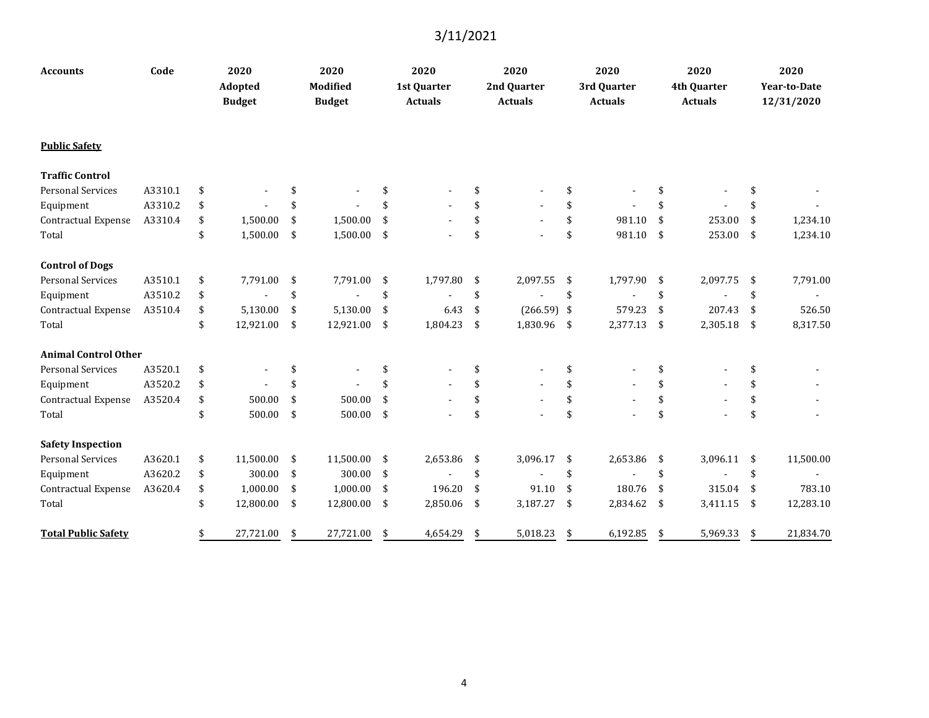| <b>Accounts</b>             | Code    | 2020<br><b>Adopted</b><br><b>Budget</b> | 2020<br>Modified<br><b>Budget</b> |               | 2020<br>1st Quarter<br><b>Actuals</b> | 2020<br>2nd Quarter<br><b>Actuals</b> | 2020<br>3rd Quarter<br><b>Actuals</b> |     | 2020<br>4th Quarter<br><b>Actuals</b> | 2020<br>Year-to-Date<br>12/31/2020 |
|-----------------------------|---------|-----------------------------------------|-----------------------------------|---------------|---------------------------------------|---------------------------------------|---------------------------------------|-----|---------------------------------------|------------------------------------|
| <b>Public Safety</b>        |         |                                         |                                   |               |                                       |                                       |                                       |     |                                       |                                    |
| <b>Traffic Control</b>      |         |                                         |                                   |               |                                       |                                       |                                       |     |                                       |                                    |
| <b>Personal Services</b>    | A3310.1 | \$                                      | \$                                |               |                                       | \$                                    | \$                                    |     |                                       | \$                                 |
| Equipment                   | A3310.2 | \$                                      | \$                                |               |                                       |                                       | \$                                    |     |                                       |                                    |
| Contractual Expense         | A3310.4 | \$<br>1,500.00                          | \$<br>1,500.00                    | \$            |                                       | \$                                    | \$<br>981.10                          | \$  | 253.00                                | \$<br>1,234.10                     |
| Total                       |         | \$<br>1,500.00                          | \$<br>1,500.00                    | $\sqrt{5}$    | $\blacksquare$                        | \$                                    | \$<br>981.10                          | -\$ | 253.00                                | \$<br>1,234.10                     |
| <b>Control of Dogs</b>      |         |                                         |                                   |               |                                       |                                       |                                       |     |                                       |                                    |
| <b>Personal Services</b>    | A3510.1 | \$<br>7,791.00                          | \$<br>7,791.00                    | -\$           | 1,797.80                              | \$<br>2,097.55                        | \$<br>1,797.90                        | -\$ | 2,097.75                              | \$<br>7,791.00                     |
| Equipment                   | A3510.2 | \$                                      | \$                                | \$            |                                       | \$                                    | \$                                    | \$  |                                       | \$                                 |
| Contractual Expense         | A3510.4 | \$<br>5,130.00                          | \$<br>5,130.00                    | \$            | 6.43                                  | \$<br>$(266.59)$ \$                   | 579.23                                | -\$ | 207.43                                | \$<br>526.50                       |
| Total                       |         | \$<br>12,921.00                         | \$<br>12,921.00 \$                |               | 1,804.23                              | \$<br>1,830.96 \$                     | 2,377.13                              | -\$ | 2,305.18                              | \$<br>8,317.50                     |
| <b>Animal Control Other</b> |         |                                         |                                   |               |                                       |                                       |                                       |     |                                       |                                    |
| <b>Personal Services</b>    | A3520.1 | \$                                      | \$                                | <sup>\$</sup> |                                       | \$                                    | \$                                    | \$  |                                       | \$                                 |
| Equipment                   | A3520.2 | \$                                      | \$                                |               |                                       | \$                                    | \$                                    | \$  |                                       | \$                                 |
| Contractual Expense         | A3520.4 | \$<br>500.00                            | \$<br>500.00                      | \$            |                                       | \$                                    | \$                                    | \$  |                                       | \$                                 |
| Total                       |         | \$<br>500.00                            | \$<br>500.00                      | -\$           |                                       | \$                                    | \$                                    | \$  |                                       | \$                                 |
| <b>Safety Inspection</b>    |         |                                         |                                   |               |                                       |                                       |                                       |     |                                       |                                    |
| <b>Personal Services</b>    | A3620.1 | \$<br>11,500.00                         | \$<br>11,500.00                   | - \$          | 2,653.86                              | \$<br>3,096.17                        | \$<br>2,653.86                        | -\$ | 3,096.11                              | \$<br>11,500.00                    |
| Equipment                   | A3620.2 | \$<br>300.00                            | \$<br>300.00                      | -\$           |                                       | \$                                    | \$                                    | \$  | $\blacksquare$                        | \$                                 |
| Contractual Expense         | A3620.4 | \$<br>1,000.00                          | \$<br>1,000.00                    | -\$           | 196.20                                | \$<br>91.10                           | \$<br>180.76                          | -\$ | 315.04                                | \$<br>783.10                       |
| Total                       |         | \$<br>12,800.00                         | \$<br>12,800.00 \$                |               | 2,850.06                              | \$<br>3,187.27                        | \$<br>2,834.62                        | -\$ | 3,411.15                              | \$<br>12,283.10                    |
| <b>Total Public Safety</b>  |         | \$<br>27,721.00                         | \$<br>27,721.00                   | \$            | 4,654.29                              | \$<br>5,018.23                        | \$<br>6,192.85                        | -\$ | 5,969.33                              | \$<br>21,834.70                    |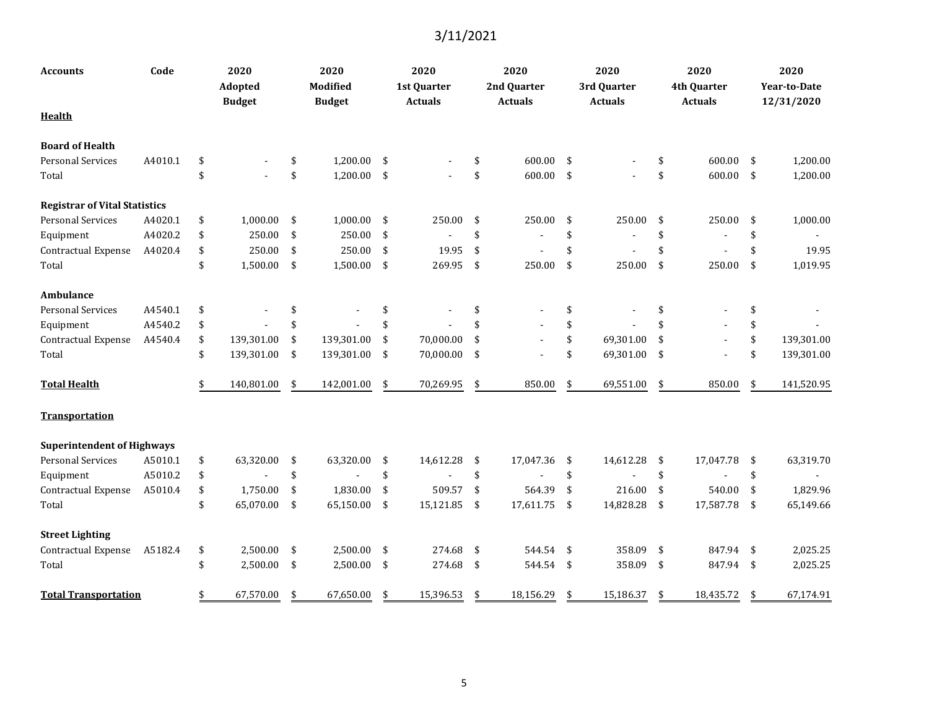| Accounts                             | Code    | 2020<br>Adopted<br><b>Budget</b> | 2020<br>Modified<br><b>Budget</b> |            | 2020<br>1st Quarter<br><b>Actuals</b> | 2020<br>2nd Quarter<br><b>Actuals</b> |            | 2020<br>3rd Quarter<br><b>Actuals</b> |     | 2020<br>4th Quarter<br><b>Actuals</b> | 2020<br>Year-to-Date<br>12/31/2020 |
|--------------------------------------|---------|----------------------------------|-----------------------------------|------------|---------------------------------------|---------------------------------------|------------|---------------------------------------|-----|---------------------------------------|------------------------------------|
| <b>Health</b>                        |         |                                  |                                   |            |                                       |                                       |            |                                       |     |                                       |                                    |
| <b>Board of Health</b>               |         |                                  |                                   |            |                                       |                                       |            |                                       |     |                                       |                                    |
| <b>Personal Services</b>             | A4010.1 | \$                               | \$<br>1,200.00                    | -\$        |                                       | \$<br>600.00                          | \$         |                                       | \$  | 600.00                                | \$<br>1,200.00                     |
| Total                                |         | \$                               | \$<br>1,200.00                    | $\sqrt{5}$ |                                       | \$<br>600.00                          | \$         |                                       | \$  | 600.00                                | \$<br>1,200.00                     |
| <b>Registrar of Vital Statistics</b> |         |                                  |                                   |            |                                       |                                       |            |                                       |     |                                       |                                    |
| <b>Personal Services</b>             | A4020.1 | \$<br>1,000.00                   | \$<br>1,000.00                    | -\$        | 250.00                                | \$<br>250.00                          | \$         | 250.00                                | \$  | 250.00                                | \$<br>1,000.00                     |
| Equipment                            | A4020.2 | \$<br>250.00                     | \$<br>250.00                      | -\$        |                                       | \$                                    | \$         |                                       | \$  |                                       | \$                                 |
| Contractual Expense                  | A4020.4 | \$<br>250.00                     | \$<br>250.00                      | -\$        | 19.95                                 | \$                                    | \$         |                                       | \$  |                                       | \$<br>19.95                        |
| Total                                |         | \$<br>1,500.00                   | \$<br>1,500.00                    | \$         | 269.95                                | \$<br>250.00                          | \$         | 250.00                                | \$  | 250.00                                | \$<br>1,019.95                     |
| Ambulance                            |         |                                  |                                   |            |                                       |                                       |            |                                       |     |                                       |                                    |
| <b>Personal Services</b>             | A4540.1 | \$                               | \$                                | \$         |                                       | \$                                    | \$         |                                       | \$  |                                       | \$                                 |
| Equipment                            | A4540.2 | \$                               | \$                                | \$         |                                       | \$                                    | \$         |                                       | \$  |                                       | \$                                 |
| Contractual Expense                  | A4540.4 | \$<br>139,301.00                 | \$<br>139,301.00                  | \$         | 70,000.00                             | \$                                    | \$         | 69,301.00                             | \$  |                                       | \$<br>139,301.00                   |
| Total                                |         | \$<br>139,301.00                 | \$<br>139,301.00                  | \$         | 70,000.00                             | \$                                    | \$         | 69,301.00                             | \$  | $\blacksquare$                        | \$<br>139,301.00                   |
| <b>Total Health</b>                  |         | 140,801.00                       | \$<br>142,001.00                  | \$         | 70,269.95                             | \$<br>850.00                          | \$         | 69,551.00                             | \$  | 850.00                                | \$<br>141,520.95                   |
| Transportation                       |         |                                  |                                   |            |                                       |                                       |            |                                       |     |                                       |                                    |
| <b>Superintendent of Highways</b>    |         |                                  |                                   |            |                                       |                                       |            |                                       |     |                                       |                                    |
| <b>Personal Services</b>             | A5010.1 | \$<br>63,320.00                  | \$<br>63,320.00                   | -\$        | 14,612.28                             | \$<br>17,047.36                       | \$         | 14,612.28                             | -\$ | 17,047.78                             | \$<br>63,319.70                    |
| Equipment                            | A5010.2 | \$                               | \$                                | \$         | $\overline{a}$                        | \$                                    | \$         |                                       | \$  | $\overline{a}$                        | \$                                 |
| Contractual Expense                  | A5010.4 | \$<br>1,750.00                   | \$<br>1,830.00                    | \$         | 509.57                                | \$<br>564.39                          | \$         | 216.00                                | \$  | 540.00                                | \$<br>1,829.96                     |
| Total                                |         | \$<br>65,070.00                  | \$<br>65,150.00                   | \$         | 15,121.85                             | \$<br>17,611.75                       | \$         | 14,828.28                             | \$  | 17,587.78                             | \$<br>65,149.66                    |
| <b>Street Lighting</b>               |         |                                  |                                   |            |                                       |                                       |            |                                       |     |                                       |                                    |
| Contractual Expense                  | A5182.4 | \$<br>2.500.00                   | \$<br>2,500.00                    | -\$        | 274.68                                | \$<br>544.54                          | \$         | 358.09                                | -\$ | 847.94                                | \$<br>2,025.25                     |
| Total                                |         | \$<br>2,500.00                   | \$<br>2,500.00                    | -\$        | 274.68                                | \$<br>544.54                          | $\sqrt{5}$ | 358.09                                | \$  | 847.94                                | \$<br>2,025.25                     |
| <b>Total Transportation</b>          |         | \$<br>67,570.00                  | \$<br>67,650.00                   | \$         | 15,396.53                             | \$<br>18,156.29                       | \$         | 15,186.37                             | \$  | 18,435.72                             | \$<br>67,174.91                    |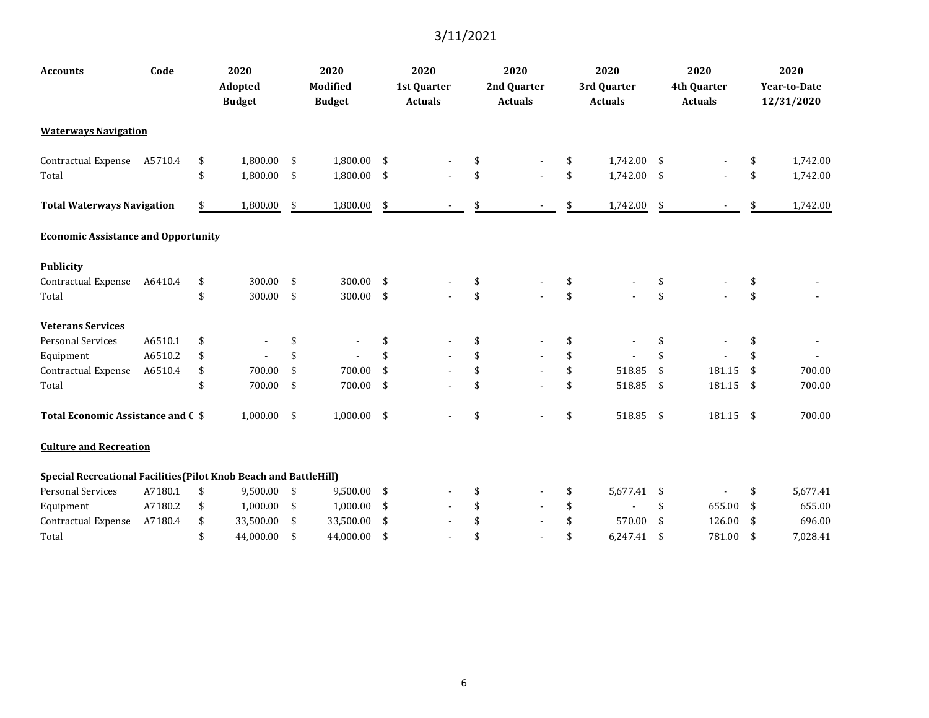| <b>Accounts</b>                                                          | Code    | 2020<br><b>Adopted</b><br><b>Budget</b> | 2020<br>Modified<br><b>Budget</b> |     | 2020<br>1st Quarter<br><b>Actuals</b> | 2020<br>2nd Quarter<br><b>Actuals</b> | 2020<br>3rd Quarter<br><b>Actuals</b> |                    | 2020<br>4th Quarter<br><b>Actuals</b> | 2020<br><b>Year-to-Date</b><br>12/31/2020 |
|--------------------------------------------------------------------------|---------|-----------------------------------------|-----------------------------------|-----|---------------------------------------|---------------------------------------|---------------------------------------|--------------------|---------------------------------------|-------------------------------------------|
| <b>Waterways Navigation</b>                                              |         |                                         |                                   |     |                                       |                                       |                                       |                    |                                       |                                           |
| <b>Contractual Expense</b>                                               | A5710.4 | \$<br>1,800.00                          | \$<br>1,800.00 \$                 |     |                                       |                                       | \$<br>1,742.00 \$                     |                    |                                       | \$<br>1,742.00                            |
| Total                                                                    |         | \$<br>1,800.00                          | \$<br>1,800.00 \$                 |     |                                       | \$                                    | \$<br>1,742.00 \$                     |                    |                                       | \$<br>1,742.00                            |
| <b>Total Waterways Navigation</b>                                        |         | 1,800.00                                | \$<br>1,800.00                    | \$  |                                       |                                       | 1,742.00                              | \$                 |                                       | 1,742.00                                  |
| <b>Economic Assistance and Opportunity</b>                               |         |                                         |                                   |     |                                       |                                       |                                       |                    |                                       |                                           |
| <b>Publicity</b>                                                         |         |                                         |                                   |     |                                       |                                       |                                       |                    |                                       |                                           |
| <b>Contractual Expense</b>                                               | A6410.4 | \$<br>300.00                            | \$<br>300.00 \$                   |     |                                       | \$                                    | \$                                    |                    |                                       |                                           |
| Total                                                                    |         | \$<br>300.00                            | \$<br>300.00 \$                   |     |                                       | \$                                    | \$                                    | \$                 |                                       | \$                                        |
| <b>Veterans Services</b>                                                 |         |                                         |                                   |     |                                       |                                       |                                       |                    |                                       |                                           |
| <b>Personal Services</b>                                                 | A6510.1 | \$                                      | \$                                | \$  |                                       | \$                                    | \$                                    | \$                 |                                       |                                           |
| Equipment                                                                | A6510.2 | \$                                      | \$                                |     |                                       |                                       | \$                                    | \$                 |                                       |                                           |
| Contractual Expense                                                      | A6510.4 | \$<br>700.00                            | \$<br>700.00                      | \$  |                                       | \$                                    | \$<br>518.85                          | \$                 | 181.15                                | \$<br>700.00                              |
| Total                                                                    |         | \$<br>700.00                            | \$<br>700.00                      | \$  |                                       | \$                                    | \$<br>518.85                          | $\mathbf{\hat{S}}$ | 181.15                                | \$<br>700.00                              |
| Total Economic Assistance and C \$                                       |         | 1,000.00                                | \$<br>1,000.00                    | \$  |                                       |                                       | 518.85                                | \$                 | 181.15                                | \$<br>700.00                              |
| <b>Culture and Recreation</b>                                            |         |                                         |                                   |     |                                       |                                       |                                       |                    |                                       |                                           |
| <b>Special Recreational Facilities (Pilot Knob Beach and BattleHill)</b> |         |                                         |                                   |     |                                       |                                       |                                       |                    |                                       |                                           |
| <b>Personal Services</b>                                                 | A7180.1 | \$<br>9,500.00 \$                       | 9,500.00 \$                       |     |                                       |                                       | \$<br>5,677.41 \$                     |                    |                                       | \$<br>5,677.41                            |
| Equipment                                                                | A7180.2 | \$<br>1,000.00                          | \$<br>$1,000.00$ \$               |     |                                       |                                       | \$                                    | \$                 | 655.00                                | \$<br>655.00                              |
| Contractual Expense                                                      | A7180.4 | \$<br>33,500.00                         | \$<br>33,500.00                   | -\$ |                                       |                                       | \$<br>570.00                          | \$                 | 126.00                                | \$<br>696.00                              |
| Total                                                                    |         | \$<br>44,000.00                         | \$<br>44,000.00                   | \$  |                                       |                                       | \$<br>6,247.41                        | \$                 | 781.00                                | \$<br>7,028.41                            |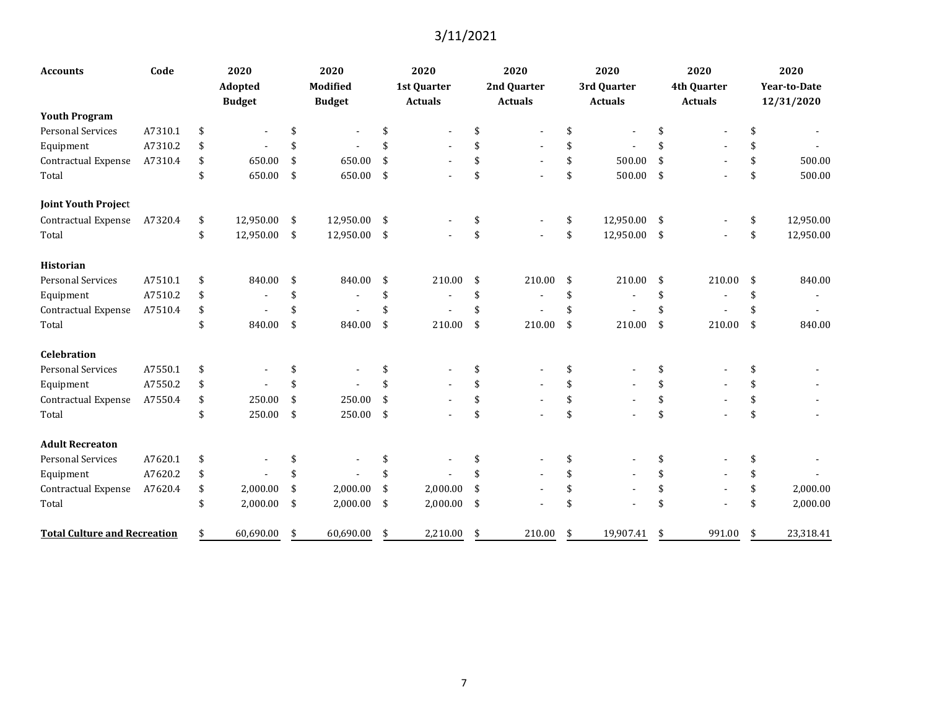| <b>Accounts</b>                     | Code    | 2020<br>Adopted<br><b>Budget</b> |               | 2020<br>Modified<br><b>Budget</b> |      | 2020<br>1st Quarter<br><b>Actuals</b> | 2020<br>2nd Quarter<br><b>Actuals</b> |    | 2020<br>3rd Quarter<br><b>Actuals</b> | 2020<br>4th Quarter<br><b>Actuals</b> | 2020<br>Year-to-Date<br>12/31/2020 |
|-------------------------------------|---------|----------------------------------|---------------|-----------------------------------|------|---------------------------------------|---------------------------------------|----|---------------------------------------|---------------------------------------|------------------------------------|
| <b>Youth Program</b>                |         |                                  |               |                                   |      |                                       |                                       |    |                                       |                                       |                                    |
| <b>Personal Services</b>            | A7310.1 | \$                               |               |                                   | \$   |                                       | \$                                    | \$ |                                       | \$                                    |                                    |
| Equipment                           | A7310.2 | \$                               |               |                                   | \$   |                                       | \$                                    | \$ |                                       | \$                                    | \$                                 |
| Contractual Expense                 | A7310.4 | \$<br>650.00                     | \$            | 650.00                            | \$   |                                       | \$                                    | \$ | 500.00                                | \$                                    | \$<br>500.00                       |
| Total                               |         | \$<br>650.00                     | \$            | 650.00                            | \$   |                                       | \$                                    | \$ | 500.00                                | \$                                    | \$<br>500.00                       |
| <b>Joint Youth Project</b>          |         |                                  |               |                                   |      |                                       |                                       |    |                                       |                                       |                                    |
| <b>Contractual Expense</b>          | A7320.4 | \$<br>12,950.00                  | -\$           | 12,950.00                         | \$   |                                       | \$                                    | \$ | 12,950.00                             | \$                                    | \$<br>12,950.00                    |
| Total                               |         | \$<br>12,950.00                  | $\frac{1}{2}$ | 12,950.00                         | - \$ |                                       | \$                                    | \$ | 12,950.00                             | \$                                    | \$<br>12,950.00                    |
| <b>Historian</b>                    |         |                                  |               |                                   |      |                                       |                                       |    |                                       |                                       |                                    |
| <b>Personal Services</b>            | A7510.1 | \$<br>840.00                     | -\$           | 840.00                            | \$   | 210.00                                | \$<br>210.00                          | \$ | 210.00                                | \$<br>210.00                          | \$<br>840.00                       |
| Equipment                           | A7510.2 | \$                               | \$            |                                   | \$   |                                       | \$                                    | \$ |                                       | \$                                    | \$                                 |
| Contractual Expense                 | A7510.4 | \$                               | S             |                                   | \$   |                                       | \$                                    | S  |                                       | \$                                    | \$                                 |
| Total                               |         | \$<br>840.00                     | \$            | 840.00                            | \$   | 210.00                                | \$<br>210.00                          | \$ | 210.00                                | \$<br>210.00                          | \$<br>840.00                       |
| Celebration                         |         |                                  |               |                                   |      |                                       |                                       |    |                                       |                                       |                                    |
| <b>Personal Services</b>            | A7550.1 | \$                               |               |                                   | \$   |                                       | \$                                    | \$ |                                       | \$                                    |                                    |
| Equipment                           | A7550.2 | \$                               | \$            |                                   | \$   |                                       | \$                                    | \$ |                                       | \$                                    |                                    |
| Contractual Expense                 | A7550.4 | \$<br>250.00                     | \$            | 250.00                            | \$   |                                       | \$                                    | \$ |                                       | \$                                    | \$                                 |
| Total                               |         | \$<br>250.00                     | \$            | 250.00                            | \$   |                                       | \$                                    | \$ |                                       | \$                                    | \$                                 |
| <b>Adult Recreaton</b>              |         |                                  |               |                                   |      |                                       |                                       |    |                                       |                                       |                                    |
| <b>Personal Services</b>            | A7620.1 | \$                               |               |                                   | \$   |                                       | \$                                    | \$ |                                       | \$                                    | \$                                 |
| Equipment                           | A7620.2 | \$                               | \$            |                                   | \$   |                                       | \$                                    | \$ |                                       | \$                                    |                                    |
| Contractual Expense                 | A7620.4 | \$<br>2,000.00                   | \$            | 2,000.00                          | \$   | 2,000.00                              | \$                                    | \$ |                                       | \$                                    | \$<br>2,000.00                     |
| Total                               |         | \$<br>2,000.00                   | $\sqrt{5}$    | 2,000.00                          | \$   | 2,000.00                              | \$                                    | \$ |                                       | \$                                    | \$<br>2,000.00                     |
| <b>Total Culture and Recreation</b> |         | \$<br>60,690.00                  | - \$          | 60,690.00                         | \$   | 2,210.00                              | \$<br>210.00                          | \$ | 19,907.41                             | \$<br>991.00                          | \$<br>23,318.41                    |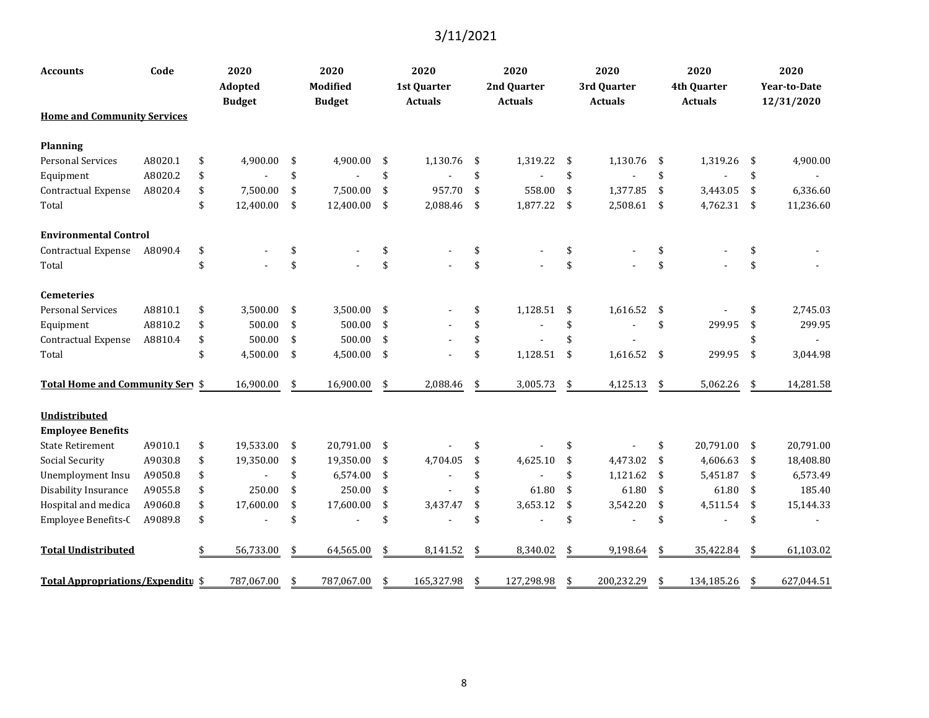| <b>Accounts</b>                    | Code    | 2020<br><b>Adopted</b><br><b>Budget</b> | 2020<br><b>Modified</b><br><b>Budget</b> | 2020<br>1st Quarter<br><b>Actuals</b> | 2020<br>2nd Quarter<br><b>Actuals</b> | 2020<br>3rd Quarter<br><b>Actuals</b> |     | 2020<br>4th Quarter<br><b>Actuals</b> | 2020<br><b>Year-to-Date</b><br>12/31/2020 |
|------------------------------------|---------|-----------------------------------------|------------------------------------------|---------------------------------------|---------------------------------------|---------------------------------------|-----|---------------------------------------|-------------------------------------------|
| <b>Home and Community Services</b> |         |                                         |                                          |                                       |                                       |                                       |     |                                       |                                           |
| <b>Planning</b>                    |         |                                         |                                          |                                       |                                       |                                       |     |                                       |                                           |
| <b>Personal Services</b>           | A8020.1 | \$<br>4,900.00                          | \$<br>4,900.00                           | \$<br>1,130.76                        | \$<br>1,319.22                        | \$<br>1,130.76                        | -\$ | 1,319.26                              | \$<br>4,900.00                            |
| Equipment                          | A8020.2 | \$                                      | \$                                       | \$                                    | \$                                    | \$                                    | \$  |                                       | \$                                        |
| Contractual Expense                | A8020.4 | \$<br>7,500.00                          | \$<br>7,500.00                           | \$<br>957.70                          | \$<br>558.00                          | \$<br>1,377.85                        | \$  | 3,443.05                              | \$<br>6,336.60                            |
| Total                              |         | \$<br>12,400.00                         | \$<br>12,400.00                          | \$<br>2,088.46                        | \$<br>1,877.22                        | \$<br>2,508.61                        | -\$ | 4,762.31                              | \$<br>11,236.60                           |
| <b>Environmental Control</b>       |         |                                         |                                          |                                       |                                       |                                       |     |                                       |                                           |
| Contractual Expense                | A8090.4 | \$                                      | \$                                       | \$                                    | \$                                    | \$                                    | \$  |                                       | \$                                        |
| Total                              |         |                                         | \$                                       | \$                                    | \$                                    | \$                                    | \$  |                                       | \$                                        |
| <b>Cemeteries</b>                  |         |                                         |                                          |                                       |                                       |                                       |     |                                       |                                           |
| <b>Personal Services</b>           | A8810.1 | \$<br>3,500.00                          | \$<br>3,500.00                           | \$                                    | \$<br>1,128.51                        | \$<br>1,616.52                        | -\$ |                                       | \$<br>2,745.03                            |
| Equipment                          | A8810.2 | \$<br>500.00                            | \$<br>500.00                             | \$                                    | \$                                    | \$                                    | \$  | 299.95                                | \$<br>299.95                              |
| Contractual Expense                | A8810.4 | \$<br>500.00                            | \$<br>500.00                             | \$                                    | \$                                    | \$                                    |     |                                       | \$                                        |
| Total                              |         | \$<br>4,500.00                          | \$<br>4,500.00                           | \$                                    | \$<br>1,128.51                        | \$<br>1,616.52                        | \$  | 299.95                                | \$<br>3,044.98                            |
| Total Home and Community Serv \$   |         | 16,900.00                               | \$<br>16,900.00                          | \$<br>2,088.46                        | \$<br>3,005.73                        | \$<br>4,125.13                        | \$  | 5,062.26                              | \$<br>14,281.58                           |
| Undistributed                      |         |                                         |                                          |                                       |                                       |                                       |     |                                       |                                           |
| <b>Employee Benefits</b>           |         |                                         |                                          |                                       |                                       |                                       |     |                                       |                                           |
| <b>State Retirement</b>            | A9010.1 | \$<br>19,533.00                         | \$<br>20,791.00                          | \$                                    | \$                                    | \$                                    | \$  | 20,791.00                             | \$<br>20,791.00                           |
| <b>Social Security</b>             | A9030.8 | \$<br>19,350.00                         | \$<br>19,350.00                          | \$<br>4,704.05                        | \$<br>4,625.10                        | \$<br>4,473.02                        | \$  | 4,606.63                              | \$<br>18,408.80                           |
| Unemployment Insu                  | A9050.8 | \$                                      | \$<br>6,574.00                           | \$                                    | \$                                    | \$<br>1,121.62                        | -\$ | 5,451.87                              | \$<br>6,573.49                            |
| Disability Insurance               | A9055.8 | \$<br>250.00                            | \$<br>250.00                             | \$                                    | \$<br>61.80                           | \$<br>61.80                           | -\$ | 61.80                                 | \$<br>185.40                              |
| Hospital and medica                | A9060.8 | \$<br>17,600.00                         | \$<br>17,600.00                          | \$<br>3,437.47                        | \$<br>3,653.12                        | \$<br>3,542.20                        | \$  | 4,511.54                              | \$<br>15,144.33                           |
| Employee Benefits-C                | A9089.8 | \$                                      | \$                                       | \$                                    | \$                                    | \$                                    | \$  |                                       | \$                                        |
| <b>Total Undistributed</b>         |         | 56,733.00                               | \$<br>64,565.00                          | \$<br>8,141.52                        | \$<br>8,340.02                        | \$<br>9,198.64                        | \$  | 35,422.84                             | \$<br>61,103.02                           |
| Total Appropriations/Expenditu \$  |         | 787,067.00                              | \$<br>787,067.00                         | \$<br>165,327.98                      | \$<br>127,298.98                      | \$<br>200,232.29                      | \$  | 134,185.26                            | \$<br>627,044.51                          |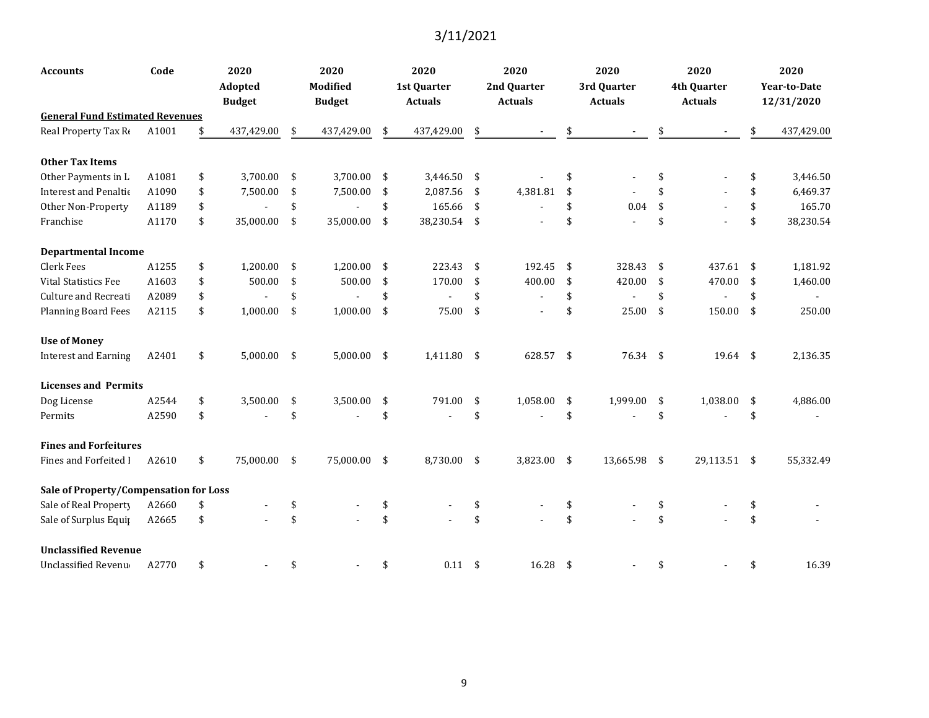| <b>Accounts</b>                        | Code  | 2020<br><b>Adopted</b><br><b>Budget</b> | 2020<br>Modified<br><b>Budget</b> |      | 2020<br>1st Quarter<br><b>Actuals</b> |     | 2020<br>2nd Quarter<br><b>Actuals</b> | 2020<br>3rd Quarter<br><b>Actuals</b> |     | 2020<br>4th Quarter<br><b>Actuals</b> |     | 2020<br><b>Year-to-Date</b><br>12/31/2020 |
|----------------------------------------|-------|-----------------------------------------|-----------------------------------|------|---------------------------------------|-----|---------------------------------------|---------------------------------------|-----|---------------------------------------|-----|-------------------------------------------|
| <b>General Fund Estimated Revenues</b> |       |                                         |                                   |      |                                       |     |                                       |                                       |     |                                       |     |                                           |
| Real Property Tax Re                   | A1001 | 437,429.00                              | \$<br>437,429.00                  | \$   | 437,429.00                            | \$  |                                       |                                       |     |                                       | \$  | 437,429.00                                |
| <b>Other Tax Items</b>                 |       |                                         |                                   |      |                                       |     |                                       |                                       |     |                                       |     |                                           |
| Other Payments in L                    | A1081 | \$<br>3,700.00                          | \$<br>3,700.00                    | -\$  | 3,446.50                              | \$  |                                       | \$                                    | \$  |                                       | \$  | 3,446.50                                  |
| Interest and Penaltic                  | A1090 | \$<br>7,500.00                          | \$<br>7,500.00                    | -\$  | 2,087.56                              | \$  | 4,381.81                              | \$                                    |     |                                       | \$  | 6,469.37                                  |
| Other Non-Property                     | A1189 | \$                                      | \$                                | \$   | 165.66                                | \$  |                                       | \$<br>0.04                            | -\$ |                                       | \$  | 165.70                                    |
| Franchise                              | A1170 | \$<br>35,000.00                         | \$<br>35,000.00                   | - \$ | 38,230.54                             | -\$ |                                       | \$                                    | \$  |                                       | \$  | 38,230.54                                 |
| <b>Departmental Income</b>             |       |                                         |                                   |      |                                       |     |                                       |                                       |     |                                       |     |                                           |
| <b>Clerk Fees</b>                      | A1255 | \$<br>1,200.00                          | \$<br>1,200.00                    | - \$ | 223.43                                | \$  | 192.45                                | \$<br>328.43                          | -\$ | 437.61                                | -\$ | 1,181.92                                  |
| Vital Statistics Fee                   | A1603 | \$<br>500.00                            | \$<br>500.00                      | \$   | 170.00                                | \$  | 400.00                                | \$<br>420.00                          | -\$ | 470.00                                | \$  | 1,460.00                                  |
| Culture and Recreati                   | A2089 | \$                                      | \$                                | \$   |                                       | \$  |                                       | \$                                    | \$  |                                       | \$  |                                           |
| <b>Planning Board Fees</b>             | A2115 | \$<br>1,000.00                          | \$<br>1,000.00                    | \$   | 75.00                                 | \$  |                                       | \$<br>25.00                           | \$  | 150.00                                | \$  | 250.00                                    |
| <b>Use of Money</b>                    |       |                                         |                                   |      |                                       |     |                                       |                                       |     |                                       |     |                                           |
| <b>Interest and Earning</b>            | A2401 | \$<br>$5,000.00$ \$                     | $5,000.00$ \$                     |      | 1,411.80                              | -\$ | 628.57 \$                             | 76.34 \$                              |     | $19.64$ \$                            |     | 2,136.35                                  |
| <b>Licenses and Permits</b>            |       |                                         |                                   |      |                                       |     |                                       |                                       |     |                                       |     |                                           |
| Dog License                            | A2544 | \$<br>3,500.00                          | \$<br>3,500.00                    | \$   | 791.00                                | \$  | 1,058.00                              | \$<br>1,999.00                        | -\$ | 1,038.00                              | \$  | 4,886.00                                  |
| Permits                                | A2590 | \$                                      | \$                                | \$   |                                       | \$  |                                       | \$                                    | \$  |                                       | \$  |                                           |
| <b>Fines and Forfeitures</b>           |       |                                         |                                   |      |                                       |     |                                       |                                       |     |                                       |     |                                           |
| Fines and Forfeited I                  | A2610 | \$<br>75,000.00 \$                      | 75,000.00                         | \$   | 8,730.00                              | -\$ | 3,823.00 \$                           | 13,665.98 \$                          |     | 29,113.51 \$                          |     | 55,332.49                                 |
| Sale of Property/Compensation for Loss |       |                                         |                                   |      |                                       |     |                                       |                                       |     |                                       |     |                                           |
| Sale of Real Property                  | A2660 | \$                                      | \$                                | \$   |                                       | \$  |                                       | \$                                    | \$  |                                       |     |                                           |
| Sale of Surplus Equip                  | A2665 | \$                                      | \$                                | \$   |                                       | \$  |                                       | \$                                    | \$  |                                       |     |                                           |
| <b>Unclassified Revenue</b>            |       |                                         |                                   |      |                                       |     |                                       |                                       |     |                                       |     |                                           |
| Unclassified Revenu                    | A2770 | \$                                      | \$                                | \$   | 0.11                                  | \$  | 16.28                                 | \$                                    |     |                                       | \$  | 16.39                                     |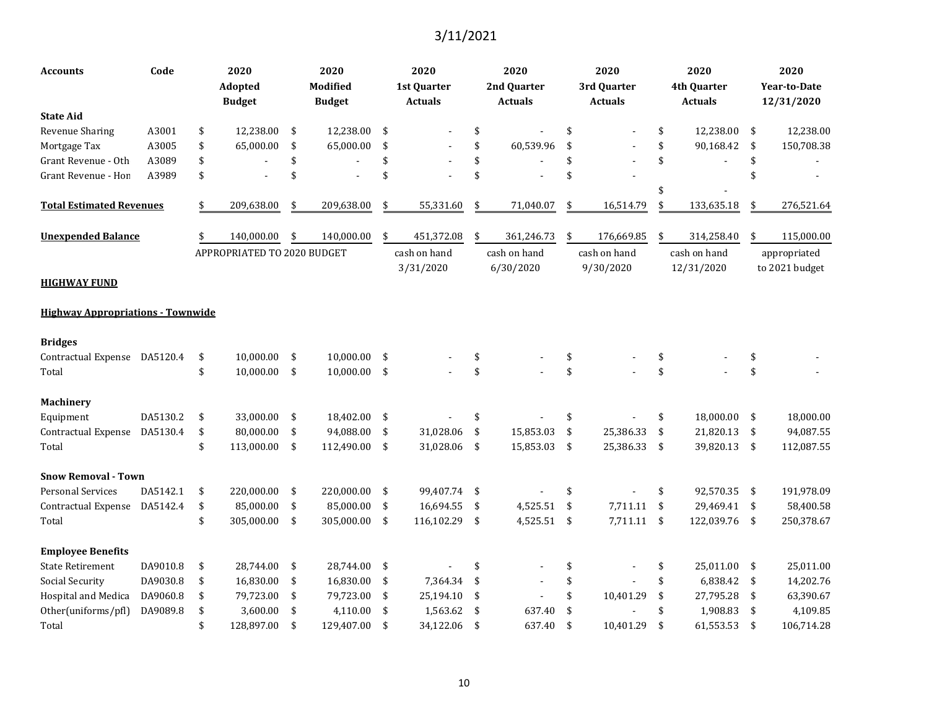| Accounts                                 | Code     | 2020<br>Adopted<br><b>Budget</b>   |            | 2020<br>Modified<br><b>Budget</b> |     | 2020<br>1st Quarter<br><b>Actuals</b> | 2020<br>2nd Quarter<br><b>Actuals</b> | 2020<br>3rd Quarter<br><b>Actuals</b> | 2020<br><b>4th Quarter</b><br><b>Actuals</b> |     | 2020<br>Year-to-Date<br>12/31/2020 |
|------------------------------------------|----------|------------------------------------|------------|-----------------------------------|-----|---------------------------------------|---------------------------------------|---------------------------------------|----------------------------------------------|-----|------------------------------------|
| <b>State Aid</b>                         |          |                                    |            |                                   |     |                                       |                                       |                                       |                                              |     |                                    |
| <b>Revenue Sharing</b>                   | A3001    | \$<br>12,238.00                    | \$         | 12,238.00                         | \$  |                                       | \$                                    | \$                                    | \$<br>12,238.00                              | \$  | 12,238.00                          |
| Mortgage Tax                             | A3005    | \$<br>65,000.00                    | \$         | 65,000.00                         | \$  |                                       | \$<br>60,539.96                       | \$                                    | \$<br>90,168.42                              | \$  | 150,708.38                         |
| Grant Revenue - Oth                      | A3089    | \$                                 | \$         |                                   | \$  |                                       | \$                                    | \$                                    | \$                                           | \$  |                                    |
| Grant Revenue - Hon                      | A3989    | \$                                 | \$         |                                   | \$  |                                       | \$                                    | \$                                    |                                              |     |                                    |
| <b>Total Estimated Revenues</b>          |          | \$<br>209,638.00                   | \$         | 209,638.00                        | \$  | 55,331.60                             | \$<br>71,040.07                       | \$<br>16,514.79                       | \$<br>133,635.18                             | \$  | 276,521.64                         |
| <b>Unexpended Balance</b>                |          | 140,000.00                         | \$         | 140,000.00                        | \$  | 451,372.08                            | \$<br>361,246.73                      | \$<br>176,669.85                      | \$<br>314,258.40                             | \$  | 115,000.00                         |
|                                          |          | <b>APPROPRIATED TO 2020 BUDGET</b> |            |                                   |     | cash on hand                          | cash on hand                          | cash on hand                          | cash on hand                                 |     | appropriated                       |
| HIGHWAY FUND                             |          |                                    |            |                                   |     | 3/31/2020                             | 6/30/2020                             | 9/30/2020                             | 12/31/2020                                   |     | to 2021 budget                     |
| <b>Highway Appropriations - Townwide</b> |          |                                    |            |                                   |     |                                       |                                       |                                       |                                              |     |                                    |
| <b>Bridges</b>                           |          |                                    |            |                                   |     |                                       |                                       |                                       |                                              |     |                                    |
| Contractual Expense                      | DA5120.4 | \$<br>10.000.00                    | \$         | 10,000.00                         | -\$ |                                       | \$                                    | \$                                    | \$                                           | \$  |                                    |
| Total                                    |          | \$<br>10,000.00                    | $\sqrt{5}$ | $10,000.00$ \$                    |     |                                       | \$                                    | \$                                    | \$                                           | \$  |                                    |
| <b>Machinery</b>                         |          |                                    |            |                                   |     |                                       |                                       |                                       |                                              |     |                                    |
| Equipment                                | DA5130.2 | \$<br>33,000.00                    | \$         | 18,402.00                         | -\$ |                                       | \$                                    | \$                                    | \$<br>18,000.00                              | \$  | 18,000.00                          |
| Contractual Expense                      | DA5130.4 | \$<br>80,000.00                    | \$         | 94,088.00                         | \$  | 31,028.06                             | \$<br>15,853.03                       | \$<br>25,386.33                       | \$<br>21,820.13                              | \$  | 94,087.55                          |
| Total                                    |          | \$<br>113,000.00                   | \$         | 112,490.00                        | -\$ | 31,028.06                             | \$<br>15,853.03                       | \$<br>25,386.33                       | \$<br>39,820.13                              | \$  | 112,087.55                         |
| <b>Snow Removal - Town</b>               |          |                                    |            |                                   |     |                                       |                                       |                                       |                                              |     |                                    |
| <b>Personal Services</b>                 | DA5142.1 | \$<br>220,000.00                   | \$         | 220,000.00                        | \$  | 99,407.74                             | \$                                    | \$                                    | \$<br>92,570.35                              | \$  | 191,978.09                         |
| Contractual Expense                      | DA5142.4 | \$<br>85,000.00                    | \$         | 85,000.00                         | \$  | 16,694.55                             | \$<br>4,525.51                        | \$<br>7,711.11                        | \$<br>29,469.41                              | -\$ | 58,400.58                          |
| Total                                    |          | \$<br>305,000.00                   | \$         | 305,000.00                        | \$  | 116,102.29                            | \$<br>4,525.51                        | \$<br>7,711.11                        | \$<br>122,039.76                             | \$  | 250,378.67                         |
| <b>Employee Benefits</b>                 |          |                                    |            |                                   |     |                                       |                                       |                                       |                                              |     |                                    |
| <b>State Retirement</b>                  | DA9010.8 | \$<br>28,744.00                    | \$         | 28,744.00                         | -\$ |                                       | \$                                    | \$                                    | \$<br>25,011.00                              | -\$ | 25,011.00                          |
| Social Security                          | DA9030.8 | \$<br>16,830.00                    | \$         | 16,830.00                         | -\$ | 7,364.34                              | \$                                    | \$                                    | \$<br>6,838.42                               | \$  | 14,202.76                          |
| Hospital and Medica                      | DA9060.8 | \$<br>79,723.00                    | \$         | 79,723.00                         | -\$ | 25,194.10                             | \$                                    | \$<br>10,401.29                       | \$<br>27,795.28                              | \$  | 63,390.67                          |
| Other(uniforms/pfl)                      | DA9089.8 | \$<br>3,600.00                     | \$         | 4,110.00                          | -\$ | 1,563.62                              | \$<br>637.40                          | \$                                    | \$<br>1,908.83                               | \$  | 4,109.85                           |
| Total                                    |          | \$<br>128,897.00                   | \$         | 129,407.00                        | \$  | 34,122.06                             | \$<br>637.40                          | \$<br>10,401.29                       | \$<br>61,553.53                              | \$  | 106,714.28                         |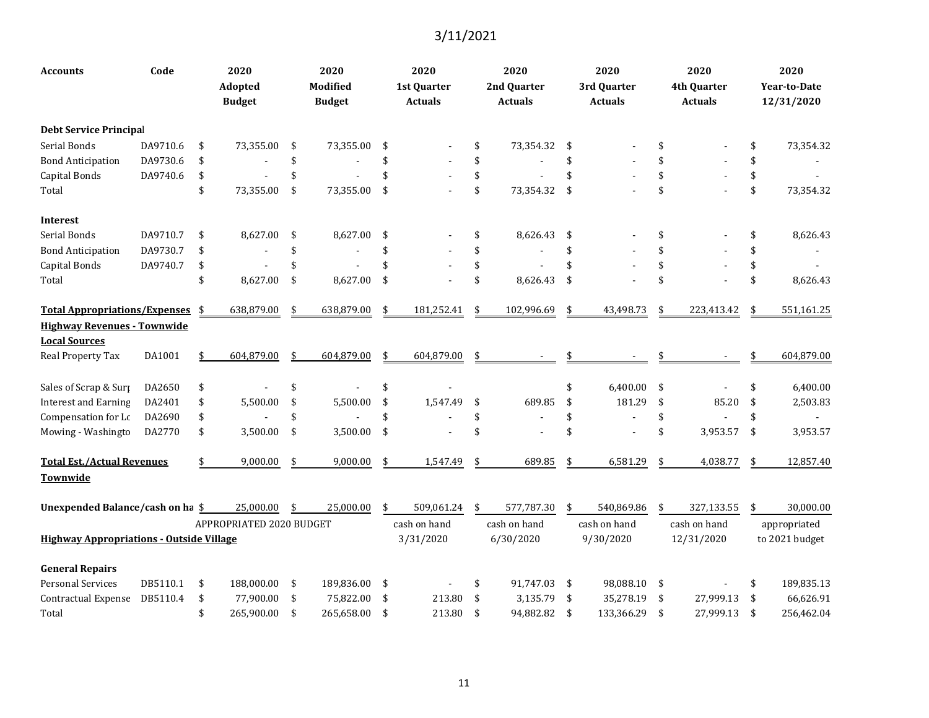| <b>Accounts</b>                                 | Code     | 2020<br><b>Adopted</b><br><b>Budget</b> | 2020<br><b>Modified</b><br><b>Budget</b> |     | 2020<br><b>1st Quarter</b><br><b>Actuals</b> | 2020<br>2nd Quarter<br><b>Actuals</b> |                    | 2020<br>3rd Quarter<br><b>Actuals</b> |    | 2020<br>4th Quarter<br><b>Actuals</b> | 2020<br><b>Year-to-Date</b><br>12/31/2020 |
|-------------------------------------------------|----------|-----------------------------------------|------------------------------------------|-----|----------------------------------------------|---------------------------------------|--------------------|---------------------------------------|----|---------------------------------------|-------------------------------------------|
| <b>Debt Service Principal</b>                   |          |                                         |                                          |     |                                              |                                       |                    |                                       |    |                                       |                                           |
| Serial Bonds                                    | DA9710.6 | \$<br>73,355.00                         | \$<br>73,355.00                          | \$  |                                              | \$<br>73,354.32                       | \$                 |                                       | \$ |                                       | \$<br>73,354.32                           |
| <b>Bond Anticipation</b>                        | DA9730.6 | \$                                      | \$                                       | \$  |                                              | \$                                    | \$                 |                                       | \$ |                                       | \$                                        |
| Capital Bonds                                   | DA9740.6 | \$                                      | \$                                       | \$  |                                              | \$                                    | \$                 |                                       | \$ |                                       | \$                                        |
| Total                                           |          | \$<br>73,355.00                         | \$<br>73,355.00                          | \$  |                                              | \$<br>73,354.32                       | \$                 |                                       | \$ |                                       | \$<br>73,354.32                           |
| <b>Interest</b>                                 |          |                                         |                                          |     |                                              |                                       |                    |                                       |    |                                       |                                           |
| Serial Bonds                                    | DA9710.7 | \$<br>8,627.00                          | \$<br>8,627.00                           | \$  |                                              | \$<br>8,626.43                        | \$                 |                                       | \$ |                                       | \$<br>8,626.43                            |
| <b>Bond Anticipation</b>                        | DA9730.7 | \$                                      | \$                                       | \$  |                                              | \$                                    | \$                 |                                       | \$ |                                       | \$                                        |
| Capital Bonds                                   | DA9740.7 | \$                                      | \$                                       | \$  |                                              | \$                                    | \$                 |                                       | \$ |                                       | \$                                        |
| Total                                           |          | \$<br>8,627.00                          | \$<br>8,627.00                           | \$  |                                              | \$<br>8,626.43                        | $\mathbf{\hat{S}}$ |                                       | \$ |                                       | \$<br>8,626.43                            |
| Total Appropriations/Expenses \$                |          | 638,879.00                              | \$<br>638,879.00                         | \$  | 181,252.41                                   | \$<br>102,996.69                      | \$                 | 43,498.73                             | \$ | 223,413.42                            | \$<br>551,161.25                          |
| <b>Highway Revenues - Townwide</b>              |          |                                         |                                          |     |                                              |                                       |                    |                                       |    |                                       |                                           |
| <b>Local Sources</b>                            |          |                                         |                                          |     |                                              |                                       |                    |                                       |    |                                       |                                           |
| Real Property Tax                               | DA1001   | 604,879.00                              | \$<br>604,879.00                         | \$  | 604,879.00                                   | \$                                    |                    |                                       |    |                                       | 604,879.00                                |
| Sales of Scrap & Surp                           | DA2650   | \$                                      | \$                                       | \$  |                                              |                                       | \$                 | 6,400.00                              | \$ |                                       | \$<br>6,400.00                            |
| <b>Interest and Earning</b>                     | DA2401   | \$<br>5,500.00                          | \$<br>5,500.00                           | \$  | 1,547.49                                     | \$<br>689.85                          | \$                 | 181.29                                | \$ | 85.20                                 | \$<br>2,503.83                            |
| Compensation for Lc                             | DA2690   | \$                                      | \$                                       | \$  |                                              | \$                                    | \$                 |                                       | \$ |                                       | \$                                        |
| Mowing - Washingto                              | DA2770   | \$<br>3,500.00                          | \$<br>3,500.00                           | \$  |                                              | \$                                    | \$                 |                                       | \$ | 3,953.57                              | \$<br>3,953.57                            |
| <b>Total Est./Actual Revenues</b>               |          | 9,000.00                                | \$<br>9,000.00                           | \$  | 1,547.49                                     | \$<br>689.85                          | \$                 | 6,581.29                              | S  | 4,038.77                              | \$<br>12,857.40                           |
| Townwide                                        |          |                                         |                                          |     |                                              |                                       |                    |                                       |    |                                       |                                           |
| Unexpended Balance/cash on ha \$                |          | 25,000.00                               | \$<br>25,000.00                          | \$  | 509,061.24                                   | \$<br>577,787.30                      | \$                 | 540,869.86                            | \$ | 327,133.55                            | \$<br>30,000.00                           |
|                                                 |          | APPROPRIATED 2020 BUDGET                |                                          |     | cash on hand                                 | cash on hand                          |                    | cash on hand                          |    | cash on hand                          | appropriated                              |
| <b>Highway Appropriations - Outside Village</b> |          |                                         |                                          |     | 3/31/2020                                    | 6/30/2020                             |                    | 9/30/2020                             |    | 12/31/2020                            | to 2021 budget                            |
| <b>General Repairs</b>                          |          |                                         |                                          |     |                                              |                                       |                    |                                       |    |                                       |                                           |
| <b>Personal Services</b>                        | DB5110.1 | \$<br>188,000.00                        | \$<br>189,836.00                         | -\$ |                                              | \$<br>91,747.03                       | -\$                | 98,088.10                             | \$ |                                       | \$<br>189,835.13                          |
| <b>Contractual Expense</b>                      | DB5110.4 | \$<br>77,900.00                         | \$<br>75,822.00                          | \$  | 213.80                                       | \$<br>3,135.79                        | \$                 | 35,278.19                             | \$ | 27,999.13                             | \$<br>66,626.91                           |
| Total                                           |          | \$<br>265,900.00                        | \$<br>265,658.00                         | \$  | 213.80                                       | \$<br>94,882.82                       | \$                 | 133,366.29                            | \$ | 27,999.13                             | \$<br>256,462.04                          |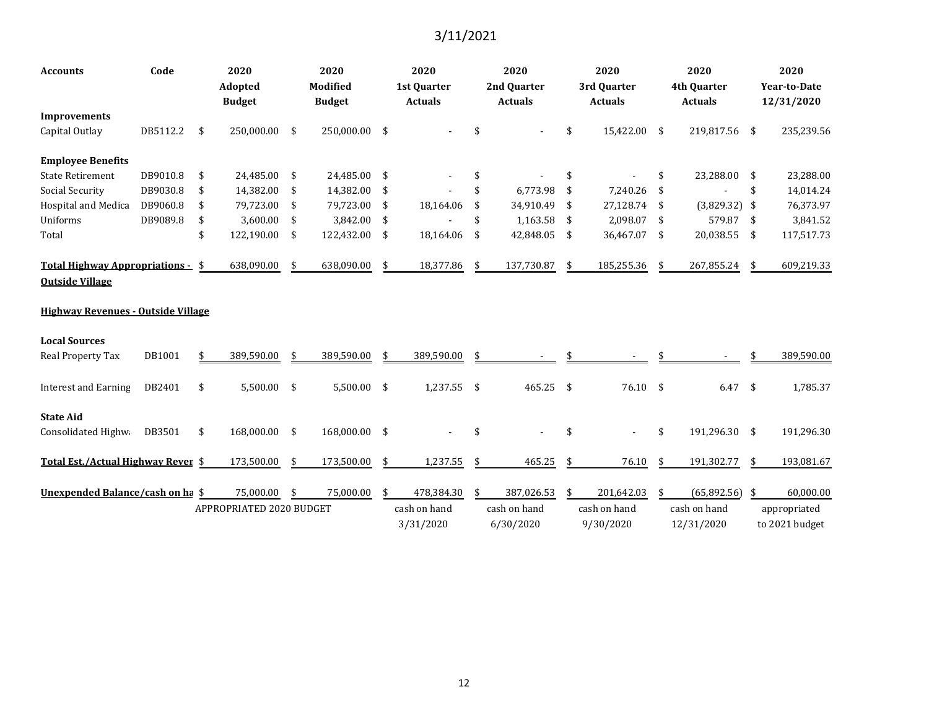| <b>Accounts</b>                                             | Code     | 2020<br>Adopted<br><b>Budget</b> |      | 2020<br><b>Modified</b><br><b>Budget</b> |     | 2020<br><b>1st Quarter</b><br><b>Actuals</b> | 2020<br>2nd Quarter<br><b>Actuals</b> |              | 2020<br>3rd Quarter<br><b>Actuals</b> |     | 2020<br>4th Quarter<br><b>Actuals</b> | 2020<br><b>Year-to-Date</b><br>12/31/2020 |
|-------------------------------------------------------------|----------|----------------------------------|------|------------------------------------------|-----|----------------------------------------------|---------------------------------------|--------------|---------------------------------------|-----|---------------------------------------|-------------------------------------------|
| <b>Improvements</b>                                         |          |                                  |      |                                          |     |                                              |                                       |              |                                       |     |                                       |                                           |
| Capital Outlay                                              | DB5112.2 | \$<br>250,000.00                 | -\$  | 250,000.00                               | \$  |                                              | \$                                    | \$           | 15,422.00                             | -\$ | 219,817.56                            | \$<br>235,239.56                          |
| <b>Employee Benefits</b>                                    |          |                                  |      |                                          |     |                                              |                                       |              |                                       |     |                                       |                                           |
| <b>State Retirement</b>                                     | DB9010.8 | \$<br>24,485.00                  | -\$  | 24,485.00                                | \$  |                                              | \$                                    | \$           |                                       | \$  | 23,288.00                             | \$<br>23,288.00                           |
| <b>Social Security</b>                                      | DB9030.8 | \$<br>14,382.00                  | \$   | 14,382.00                                | -\$ |                                              | \$<br>6,773.98                        | \$           | 7,240.26                              | \$  |                                       | \$<br>14,014.24                           |
| Hospital and Medica                                         | DB9060.8 | \$<br>79,723.00                  | \$   | 79,723.00                                | \$  | 18,164.06                                    | \$<br>34,910.49                       | \$           | 27,128.74                             | -\$ | (3,829.32)                            | \$<br>76,373.97                           |
| Uniforms                                                    | DB9089.8 | \$<br>3,600.00                   | -\$  | 3,842.00                                 | \$  |                                              | \$<br>1,163.58                        | -\$          | 2,098.07                              | -\$ | 579.87                                | \$<br>3,841.52                            |
| Total                                                       |          | \$<br>122,190.00                 | \$   | 122,432.00                               | -\$ | 18,164.06                                    | \$<br>42,848.05                       | - \$         | 36,467.07 \$                          |     | 20,038.55                             | \$<br>117,517.73                          |
| Total Highway Appropriations - \$<br><b>Outside Village</b> |          | 638,090.00                       | \$   | 638,090.00                               | \$  | 18,377.86                                    | \$<br>137,730.87                      | \$           | 185,255.36                            | -\$ | 267,855.24                            | \$<br>609,219.33                          |
| <b>Highway Revenues - Outside Village</b>                   |          |                                  |      |                                          |     |                                              |                                       |              |                                       |     |                                       |                                           |
| <b>Local Sources</b>                                        |          |                                  |      |                                          |     |                                              |                                       |              |                                       |     |                                       |                                           |
| Real Property Tax                                           | DB1001   | \$<br>389,590.00                 |      | 389,590.00                               | \$  | 389,590.00                                   | \$                                    |              |                                       |     |                                       | 389,590.00                                |
| <b>Interest and Earning</b>                                 | DB2401   | \$<br>5,500.00                   | - \$ | 5,500.00                                 | \$  | 1,237.55                                     | \$<br>465.25                          | $\mathbf{s}$ | 76.10 \$                              |     | 6.47                                  | \$<br>1,785.37                            |
| <b>State Aid</b>                                            |          |                                  |      |                                          |     |                                              |                                       |              |                                       |     |                                       |                                           |
| Consolidated Highwa                                         | DB3501   | \$<br>168,000.00                 | -\$  | 168,000.00                               | \$  |                                              | \$                                    |              |                                       | \$  | 191,296.30                            | \$<br>191,296.30                          |
| Total Est./Actual Highway Reven \$                          |          | 173,500.00                       | \$   | 173,500.00                               | \$  | 1,237.55                                     | \$<br>465.25                          |              | 76.10                                 | \$  | 191,302.77                            | \$<br>193,081.67                          |
| Unexpended Balance/cash on ha \$                            |          | 75,000.00                        |      | 75,000.00                                | \$  | 478,384.30                                   | \$<br>387,026.53                      |              | 201,642.03                            | \$  | (65,892.56)                           | \$<br>60,000.00                           |
|                                                             |          | APPROPRIATED 2020 BUDGET         |      |                                          |     | cash on hand<br>3/31/2020                    | cash on hand<br>6/30/2020             |              | cash on hand<br>9/30/2020             |     | cash on hand<br>12/31/2020            | appropriated<br>to 2021 budget            |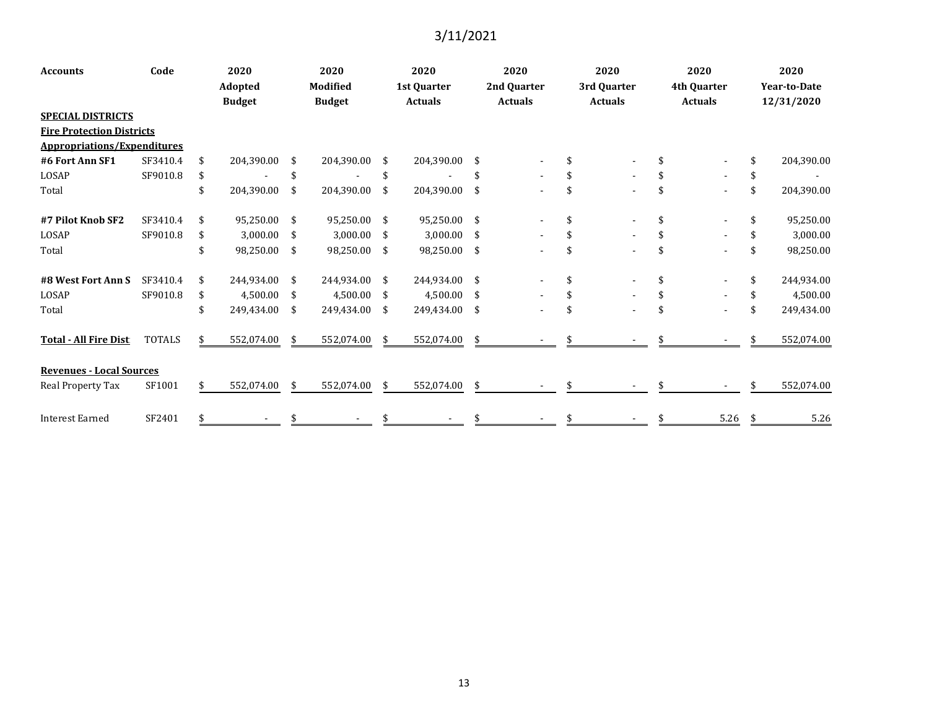| <b>Accounts</b>                 | Code                               | 2020 |               | 2020          |                 | 2020 |                | 2020 |                | 2020 |                | 2020 |                | 2020 |                     |  |  |
|---------------------------------|------------------------------------|------|---------------|---------------|-----------------|------|----------------|------|----------------|------|----------------|------|----------------|------|---------------------|--|--|
|                                 |                                    |      | Adopted       |               | <b>Modified</b> |      | 1st Quarter    |      | 2nd Quarter    |      | 3rd Quarter    |      | 4th Quarter    |      | <b>Year-to-Date</b> |  |  |
|                                 |                                    |      | <b>Budget</b> |               | <b>Budget</b>   |      | <b>Actuals</b> |      | <b>Actuals</b> |      | <b>Actuals</b> |      | <b>Actuals</b> |      | 12/31/2020          |  |  |
| <b>SPECIAL DISTRICTS</b>        |                                    |      |               |               |                 |      |                |      |                |      |                |      |                |      |                     |  |  |
|                                 | <b>Fire Protection Districts</b>   |      |               |               |                 |      |                |      |                |      |                |      |                |      |                     |  |  |
|                                 | <b>Appropriations/Expenditures</b> |      |               |               |                 |      |                |      |                |      |                |      |                |      |                     |  |  |
| #6 Fort Ann SF1                 | SF3410.4                           | \$   | 204,390.00    | \$            | 204,390.00      | - \$ | 204,390.00     | \$   |                |      |                |      |                |      | 204,390.00          |  |  |
| LOSAP                           | SF9010.8                           | \$   |               | \$            |                 | \$   |                |      |                |      |                |      |                |      |                     |  |  |
| Total                           |                                    | \$   | 204,390.00    | \$            | 204,390.00      | \$   | 204,390.00     | \$   |                |      |                | \$   |                | \$   | 204,390.00          |  |  |
| #7 Pilot Knob SF2               | SF3410.4                           | \$   | 95,250.00     | \$            | 95,250.00       | -\$  | 95,250.00      | \$   |                |      |                | \$   |                | \$   | 95,250.00           |  |  |
| LOSAP                           | SF9010.8                           | \$   | 3,000.00      | \$            | 3,000.00        | - \$ | 3,000.00       | \$   |                |      |                |      |                |      | 3,000.00            |  |  |
| Total                           |                                    | \$   | 98,250.00     | $\frac{1}{2}$ | 98,250.00       | - \$ | 98,250.00      | \$   |                |      |                | \$   |                | \$   | 98,250.00           |  |  |
| #8 West Fort Ann S              | SF3410.4                           | \$   | 244,934.00    | \$            | 244,934.00 \$   |      | 244,934.00     | \$   |                |      |                | \$   |                | \$   | 244,934.00          |  |  |
| LOSAP                           | SF9010.8                           | \$   | 4,500.00      | \$            | 4,500.00 \$     |      | 4,500.00       | \$   |                |      |                |      |                |      | 4,500.00            |  |  |
| Total                           |                                    | \$   | 249,434.00    | \$            | 249,434.00 \$   |      | 249,434.00     | \$   |                |      |                | \$   |                |      | 249,434.00          |  |  |
| <b>Total - All Fire Dist</b>    | <b>TOTALS</b>                      |      | 552,074.00    | \$            | 552,074.00      | \$   | 552,074.00     | \$   |                |      |                |      |                |      | 552,074.00          |  |  |
| <b>Revenues - Local Sources</b> |                                    |      |               |               |                 |      |                |      |                |      |                |      |                |      |                     |  |  |
| Real Property Tax               | SF1001                             |      | 552,074.00    | \$            | 552,074.00      | -\$  | 552,074.00     | \$   |                |      |                |      |                |      | 552,074.00          |  |  |
| <b>Interest Earned</b>          | SF2401                             | \$   |               | \$            |                 | \$   |                | \$   |                | \$   |                | \$   | $5.26$ \$      |      | 5.26                |  |  |